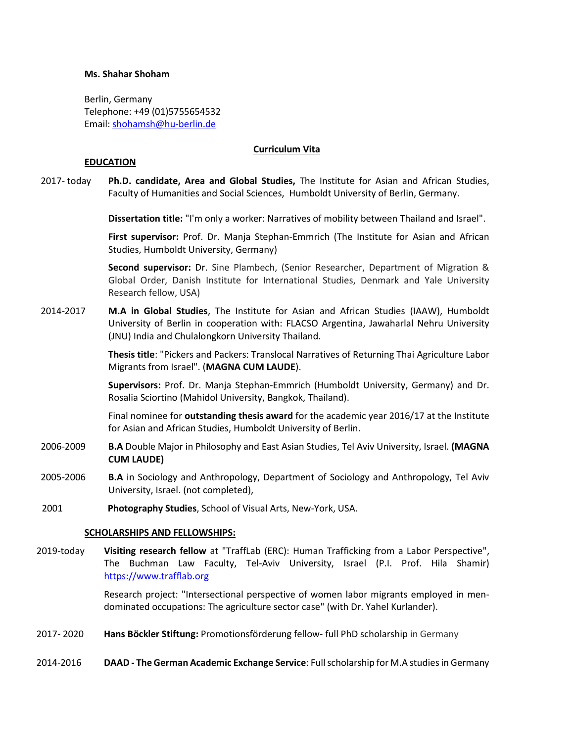# **Ms. Shahar Shoham**

Berlin, Germany Telephone: +49 (01)5755654532 Email: [shohamsh@hu-berlin.de](mailto:shohamsh@hu-berlin.de)

### **Curriculum Vita**

### **EDUCATION**

2017- today **Ph.D. candidate, Area and Global Studies,** The Institute for Asian and African Studies, Faculty of Humanities and Social Sciences, [Humboldt University of](https://www.hu-berlin.de/) Berlin, Germany.

**Dissertation title:** "I'm only a worker: Narratives of mobility between Thailand and Israel".

**First supervisor:** Prof. Dr. Manja Stephan-Emmrich (The Institute for Asian and African Studies, Humboldt University, Germany)

**Second supervisor:** Dr. Sine Plambech, (Senior Researcher, Department of Migration & Global Order, Danish Institute for International Studies, Denmark and Yale University Research fellow, USA)

2014-2017 **M.A in Global Studies**, [The Institute for Asian and African Studies](https://www.iaaw.hu-berlin.de/en) (IAAW), Humboldt University of Berlin in cooperation with: FLACSO Argentina, Jawaharlal Nehru University (JNU) India and Chulalongkorn University Thailand.

> **Thesis title**: "Pickers and Packers: Translocal Narratives of Returning Thai Agriculture Labor Migrants from Israel". (**MAGNA CUM LAUDE**).

> **Supervisors:** Prof. Dr. Manja Stephan-Emmrich (Humboldt University, Germany) and Dr. Rosalia Sciortino (Mahidol University, Bangkok, Thailand).

> Final nominee for **outstanding thesis award** for the academic year 2016/17 at the Institute for Asian and African Studies, Humboldt University of Berlin.

- 2006-2009 **B.A** Double Major in Philosophy and East Asian Studies, Tel Aviv University, Israel. **(MAGNA CUM LAUDE)**
- 2005-2006 **B.A** in Sociology and Anthropology, Department of Sociology and Anthropology, Tel Aviv University, Israel. (not completed),
- 2001 **Photography Studies**, School of Visual Arts, New-York, USA.

# **SCHOLARSHIPS AND FELLOWSHIPS:**

2019-today **Visiting research fellow** at "TraffLab (ERC): Human Trafficking from a Labor Perspective", The Buchman Law Faculty, Tel-Aviv University, Israel (P.I. Prof. Hila Shamir) [https://www.trafflab.org](https://www.trafflab.org/)

> Research project: "Intersectional perspective of women labor migrants employed in mendominated occupations: The agriculture sector case" (with Dr. Yahel Kurlander).

- 2017- 2020 **Hans Böckler Stiftung:** Promotionsförderung fellow- full PhD scholarship in Germany
- 2014-2016 **DAAD - The German Academic Exchange Service**: Full scholarship for M.A studies in Germany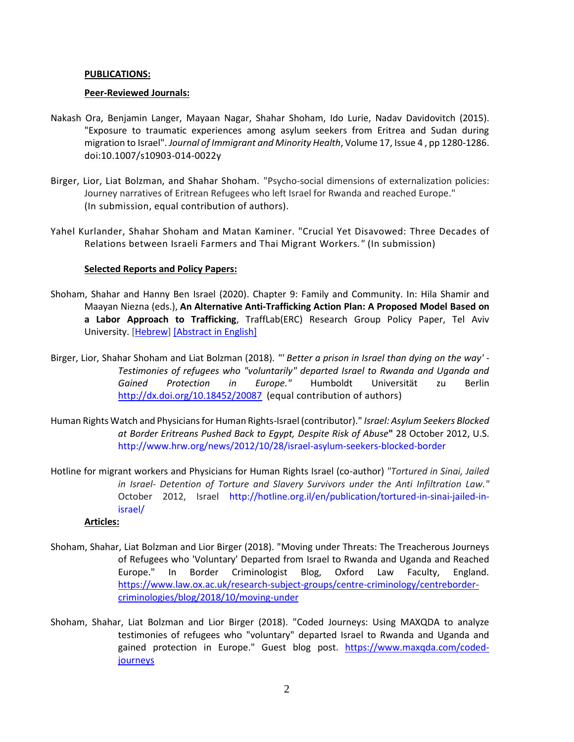# **PUBLICATIONS:**

# **Peer-Reviewed Journals:**

- Nakash Ora, Benjamin Langer, Mayaan Nagar, Shahar Shoham, Ido Lurie, Nadav Davidovitch (2015). "Exposure to traumatic experiences among asylum seekers from Eritrea and Sudan during migration to Israel". *Journal of Immigrant and Minority Health*, Volume 17, Issue 4 , pp [1280-1286.](http://link.springer.com/journal/10903/17/4/page/1) doi:10.1007/s10903-014-0022y
- Birger, Lior, Liat Bolzman, and Shahar Shoham. "Psycho-social dimensions of externalization policies: Journey narratives of Eritrean Refugees who left Israel for Rwanda and reached Europe." (In submission, equal contribution of authors).
- Yahel Kurlander, Shahar Shoham and Matan Kaminer. "Crucial Yet Disavowed: Three Decades of Relations between Israeli Farmers and Thai Migrant Workers*."* (In submission)

# **Selected Reports and Policy Papers:**

- Shoham, Shahar and Hanny Ben Israel (2020). Chapter 9: Family and Community. In: Hila Shamir and Maayan Niezna (eds.), **An Alternative Anti-Trafficking Action Plan: A Proposed Model Based on a Labor Approach to Trafficking**, TraffLab(ERC) Research Group Policy Paper, Tel Aviv University. [\[Hebrew\]](https://5b95acaf-0ac7-4d09-b46a-a0f0163d0c70.filesusr.com/ugd/11e1f0_881bce3515e64a0892eb759b23bc9745.pdf) [\[Abstract](https://5b95acaf-0ac7-4d09-b46a-a0f0163d0c70.filesusr.com/ugd/11e1f0_71fd76d168d64084be1d5cb4958091ea.pdf) in Englis[h\]](https://5b95acaf-0ac7-4d09-b46a-a0f0163d0c70.filesusr.com/ugd/11e1f0_71fd76d168d64084be1d5cb4958091ea.pdf)
- Birger, Lior, Shahar Shoham and Liat Bolzman (2018). *"' Better a prison in Israel than dying on the way' - Testimonies of refugees who "voluntarily" departed Israel to Rwanda and Uganda and Gained Protection in Europe."* Humboldt Universität zu Berlin <http://dx.doi.org/10.18452/20087> (equal contribution of authors)
- Human Rights Watch and Physicians for Human Rights-Israel (contributor)." *Israel: Asylum Seekers Blocked at Border Eritreans Pushed Back to Egypt, Despite Risk of Abuse***"** 28 October 2012, U.S. <http://www.hrw.org/news/2012/10/28/israel-asylum-seekers-blocked-border>
- Hotline for migrant workers and Physicians for Human Rights Israel (co-author) *"Tortured in Sinai, Jailed in Israel- Detention of Torture and Slavery Survivors under the Anti Infiltration Law."* October 2012, Israel [http://hotline.org.il/en/publication/tortured-in-sinai-jailed-in](http://hotline.org.il/en/publication/tortured-in-sinai-jailed-in-israel/)[israel/](http://hotline.org.il/en/publication/tortured-in-sinai-jailed-in-israel/)

# **Articles:**

- Shoham, Shahar, Liat Bolzman and Lior Birger (2018). "Moving under Threats: The Treacherous Journeys of Refugees who 'Voluntary' Departed from Israel to Rwanda and Uganda and Reached Europe." In Border Criminologist Blog, Oxford Law Faculty, England. [https://www.law.ox.ac.uk/research-subject-groups/centre-criminology/centreborder](https://www.law.ox.ac.uk/research-subject-groups/centre-criminology/centreborder-criminologies/blog/2018/10/moving-under)[criminologies/blog/2018/10/moving-under](https://www.law.ox.ac.uk/research-subject-groups/centre-criminology/centreborder-criminologies/blog/2018/10/moving-under)
- Shoham, Shahar, Liat Bolzman and Lior Birger (2018). "Coded Journeys: Using MAXQDA to analyze testimonies of refugees who "voluntary" departed Israel to Rwanda and Uganda and gained protection in Europe." Guest blog post. [https://www.maxqda.com/coded](https://www.maxqda.com/coded-journeys)**[journeys](https://www.maxqda.com/coded-journeys)**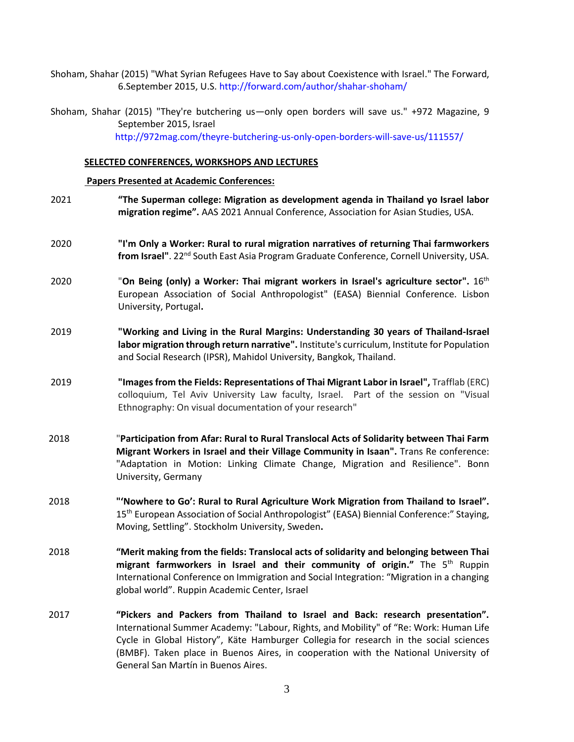Shoham, Shahar (2015) "What Syrian Refugees Have to Say about Coexistence with Israel." The Forward, 6.September 2015, U.S.<http://forward.com/author/shahar-shoham/>

Shoham, Shahar (2015) "They're butchering us—only open borders will save us." +972 Magazine, 9 September 2015, Israel <http://972mag.com/theyre-butchering-us-only-open-borders-will-save-us/111557/>

### **SELECTED CONFERENCES, WORKSHOPS AND LECTURES**

#### **Papers Presented at Academic Conferences:**

- 2021 **"The Superman college: Migration as development agenda in Thailand yo Israel labor migration regime".** AAS 2021 Annual Conference, Association for Asian Studies, USA. 2020 **"I'm Only a Worker: Rural to rural migration narratives of returning Thai farmworkers**  from Israel". 22<sup>nd</sup> South East Asia Program Graduate Conference, Cornell University, USA. 2020 **The Step of the Univery of American Contact Step 2020** Constants Tom Being 2020 Constants Tom Being (only) European Association of Social Anthropologist" (EASA) Biennial Conference. Lisbon University, Portugal**.** 2019 **"Working and Living in the Rural Margins: Understanding 30 years of Thailand-Israel labor migration through return narrative".** Institute's curriculum, Institute for Population and Social Research (IPSR), Mahidol University, Bangkok, Thailand. 2019 **"Images from the Fields: Representations of Thai Migrant Labor in Israel",** Trafflab (ERC) colloquium, Tel Aviv University Law faculty, Israel. Part of the session on "Visual Ethnography: On visual documentation of your research" 2018 "**Participation from Afar: Rural to Rural Translocal Acts of Solidarity between Thai Farm Migrant Workers in Israel and their Village Community in Isaan".** Trans Re conference: "Adaptation in Motion: Linking Climate Change, Migration and Resilience". Bonn University, Germany 2018 **"'Nowhere to Go': Rural to Rural Agriculture Work Migration from Thailand to Israel".** 15<sup>th</sup> European Association of Social Anthropologist" (EASA) Biennial Conference:" Staying, Moving, Settling". Stockholm University, Sweden**.** 2018 **"Merit making from the fields: Translocal acts of solidarity and belonging between Thai migrant farmworkers in Israel and their community of origin."** The 5th Ruppin International Conference on Immigration and Social Integration: "Migration in a changing global world". Ruppin Academic Center, Israel
- 2017 **"Pickers and Packers from Thailand to Israel and Back: research presentation".** International Summer Academy: "Labour, Rights, and Mobility" of "Re: Work: Human Life Cycle in Global History", Käte Hamburger Collegia for research in the social sciences (BMBF). Taken place in Buenos Aires, in cooperation with the National University of General San Martín in Buenos Aires.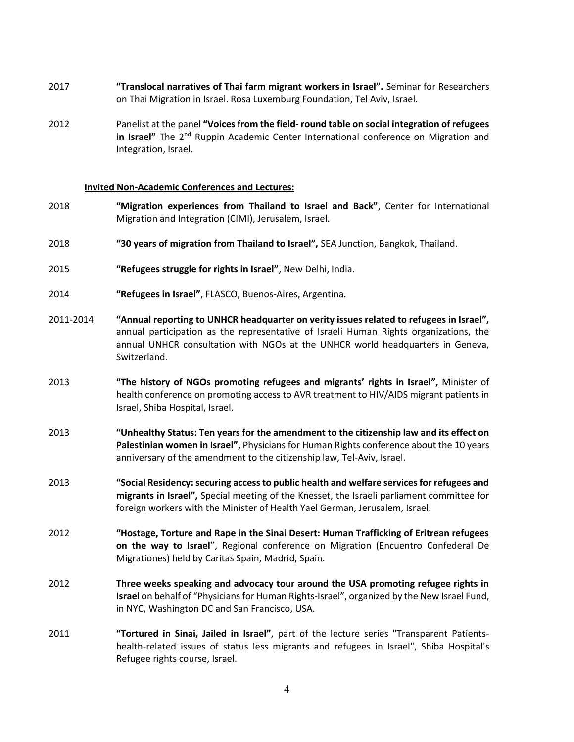- 2017 **"Translocal narratives of Thai farm migrant workers in Israel".** Seminar for Researchers on Thai Migration in Israel. Rosa Luxemburg Foundation, Tel Aviv, Israel.
- 2012 Panelist at the panel **"Voices from the field- round table on social integration of refugees in Israel"** The 2<sup>nd</sup> Ruppin Academic Center International conference on Migration and Integration, Israel.

### **Invited Non-Academic Conferences and Lectures:**

- 2018 **"Migration experiences from Thailand to Israel and Back"**, Center for International Migration and Integration (CIMI), Jerusalem, Israel.
- 2018 **"30 years of migration from Thailand to Israel",** SEA Junction, Bangkok, Thailand.
- 2015 **"Refugees struggle for rights in Israel"**, New Delhi, India.
- 2014 **"Refugees in Israel"**, FLASCO, Buenos-Aires, Argentina.
- 2011-2014 **"Annual reporting to UNHCR headquarter on verity issues related to refugees in Israel",** annual participation as the representative of Israeli Human Rights organizations, the annual UNHCR consultation with NGOs at the UNHCR world headquarters in Geneva, Switzerland.
- 2013 **"The history of NGOs promoting refugees and migrants' rights in Israel",** Minister of health conference on promoting access to AVR treatment to HIV/AIDS migrant patients in Israel, Shiba Hospital, Israel.
- 2013 **"Unhealthy Status: Ten years for the amendment to the citizenship law and its effect on Palestinian women in Israel",** Physicians for Human Rights conference about the 10 years anniversary of the amendment to the citizenship law, Tel-Aviv, Israel.
- 2013 **"Social Residency: securing access to public health and welfare services for refugees and migrants in Israel",** Special meeting of the Knesset, the Israeli parliament committee for foreign workers with the Minister of Health Yael German, Jerusalem, Israel.
- 2012 **"Hostage, Torture and Rape in the Sinai Desert: Human Trafficking of Eritrean refugees on the way to Israel**", Regional conference on Migration (Encuentro Confederal De Migrationes) held by Caritas Spain, Madrid, Spain.
- 2012 **Three weeks speaking and advocacy tour around the USA promoting refugee rights in Israel** on behalf of "Physicians for Human Rights-Israel", organized by the New Israel Fund, in NYC, Washington DC and San Francisco, USA.
- 2011 **"Tortured in Sinai, Jailed in Israel"**, part of the lecture series "Transparent Patientshealth-related issues of status less migrants and refugees in Israel", Shiba Hospital's Refugee rights course, Israel.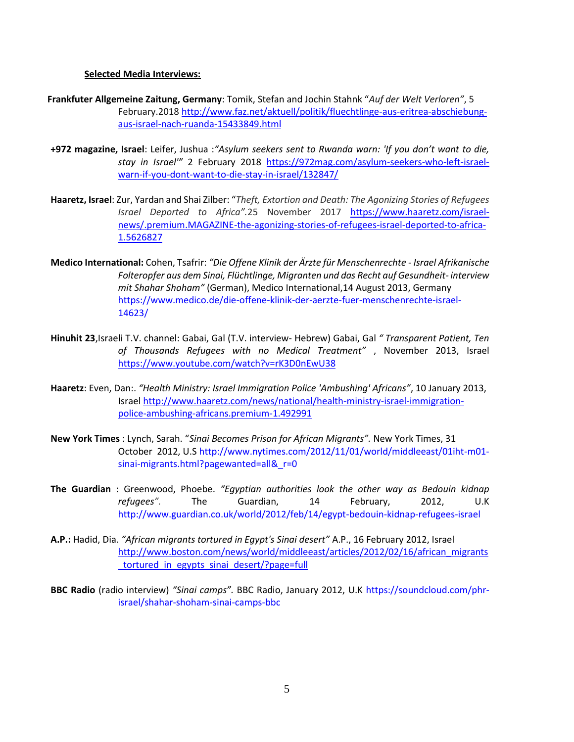### **Selected Media Interviews:**

- **Frankfuter Allgemeine Zaitung, Germany**: Tomik, Stefan and Jochin Stahnk "*Auf der Welt Verloren"*, 5 February.2018 [http://www.faz.net/aktuell/politik/fluechtlinge-aus-eritrea-abschiebung](http://www.faz.net/aktuell/politik/fluechtlinge-aus-eritrea-abschiebung-aus-israel-nach-ruanda-15433849.html)[aus-israel-nach-ruanda-15433849.html](http://www.faz.net/aktuell/politik/fluechtlinge-aus-eritrea-abschiebung-aus-israel-nach-ruanda-15433849.html)
- **+972 magazine, Israel**: Leifer, Jushua :*"Asylum seekers sent to Rwanda warn: 'If you don't want to die, stay in Israel'"* 2 February 2018 [https://972mag.com/asylum-seekers-who-left-israel](https://972mag.com/asylum-seekers-who-left-israel-warn-if-you-dont-want-to-die-stay-in-israel/132847/)[warn-if-you-dont-want-to-die-stay-in-israel/132847/](https://972mag.com/asylum-seekers-who-left-israel-warn-if-you-dont-want-to-die-stay-in-israel/132847/)
- **Haaretz, Israel**: Zur, Yardan and Shai Zilber: "*Theft, Extortion and Death: The Agonizing Stories of Refugees Israel Deported to Africa".*25 November 2017 [https://www.haaretz.com/israel](https://www.haaretz.com/israel-news/.premium.MAGAZINE-the-agonizing-stories-of-refugees-israel-deported-to-africa-1.5626827)[news/.premium.MAGAZINE-the-agonizing-stories-of-refugees-israel-deported-to-africa-](https://www.haaretz.com/israel-news/.premium.MAGAZINE-the-agonizing-stories-of-refugees-israel-deported-to-africa-1.5626827)[1.5626827](https://www.haaretz.com/israel-news/.premium.MAGAZINE-the-agonizing-stories-of-refugees-israel-deported-to-africa-1.5626827)
- **Medico International:** Cohen, Tsafrir: *"Die Offene Klinik der Ärzte für Menschenrechte - Israel Afrikanische Folteropfer aus dem Sinai, Flüchtlinge, Migranten und das Recht auf Gesundheit- interview mit Shahar Shoham"* (German), Medico International,14 August 2013, Germany [https://www.medico.de/die-offene-klinik-der-aerzte-fuer-menschenrechte-israel-](https://www.medico.de/die-offene-klinik-der-aerzte-fuer-menschenrechte-israel-14623/)[14623/](https://www.medico.de/die-offene-klinik-der-aerzte-fuer-menschenrechte-israel-14623/)
- **Hinuhit 23**,Israeli T.V. channel: Gabai, Gal (T.V. interview- Hebrew) Gabai, Gal *" Transparent Patient, Ten of Thousands Refugees with no Medical Treatment"* , November 2013, Israel <https://www.youtube.com/watch?v=rK3D0nEwU38>
- **Haaretz**: Even, Dan:. *"Health Ministry: Israel Immigration Police 'Ambushing' Africans"*, 10 January 2013, Israe[l http://www.haaretz.com/news/national/health-ministry-israel-immigration](http://www.haaretz.com/news/national/health-ministry-israel-immigration-police-ambushing-africans.premium-1.492991)[police-ambushing-africans.premium-1.492991](http://www.haaretz.com/news/national/health-ministry-israel-immigration-police-ambushing-africans.premium-1.492991)
- **New York Times** : Lynch, Sarah. "*Sinai Becomes Prison for African Migrants".* New York Times, 31 October 2012, U.[S http://www.nytimes.com/2012/11/01/world/middleeast/01iht-m01](http://www.nytimes.com/2012/11/01/world/middleeast/01iht-m01-sinai-migrants.html?pagewanted=all&_r=0) [sinai-migrants.html?pagewanted=all&\\_r=0](http://www.nytimes.com/2012/11/01/world/middleeast/01iht-m01-sinai-migrants.html?pagewanted=all&_r=0)
- **The Guardian** : [Greenwood,](https://www.theguardian.com/profile/phoebe-greenwood) Phoebe. *"Egyptian authorities look the other way as Bedouin kidnap refugees".* The Guardian, 14 February, 2012, U.K <http://www.guardian.co.uk/world/2012/feb/14/egypt-bedouin-kidnap-refugees-israel>
- **A.P.:** Hadid, Dia. *"African migrants tortured in Egypt's Sinai desert"* A.P., 16 February 2012, Israel [http://www.boston.com/news/world/middleeast/articles/2012/02/16/african\\_migrants](http://www.boston.com/news/world/middleeast/articles/2012/02/16/african_migrants_tortured_in_egypts_sinai_desert/?page=full) tortured in egypts sinai desert/?page=full
- **BBC Radio** (radio interview) *"Sinai camps".* BBC Radio, January 2012, U.K [https://soundcloud.com/phr](https://soundcloud.com/phr-israel/shahar-shoham-sinai-camps-bbc)[israel/shahar-shoham-sinai-camps-bbc](https://soundcloud.com/phr-israel/shahar-shoham-sinai-camps-bbc)